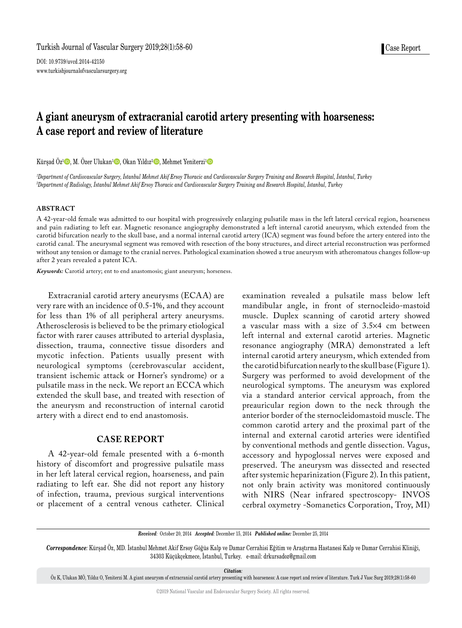DOI: 10.9739/uvcd.2014-42150 www.turkishjournalofvascularsurgery.org

# **A giant aneurysm of extracranial carotid artery presenting with hoarseness: A case report and review of literature**

Kürşad Öz<sup>ı</sup>©, M. Özer Ulukan<sup>ı</sup> ©, Okan Yıldız<sup>2</sup> ©, Mehmet Yeniterzi<sup>ı</sup> ©

*1 Department of Cardiovascular Surgery, İstanbul Mehmet Akif Ersoy Thoracic and Cardiovascular Surgery Training and Research Hospital, İstanbul, Turkey 2 Department of Radiology, İstanbul Mehmet Akif Ersoy Thoracic and Cardiovascular Surgery Training and Research Hospital, İstanbul, Turkey*

## **ABSTRACT**

A 42-year-old female was admitted to our hospital with progressively enlarging pulsatile mass in the left lateral cervical region, hoarseness and pain radiating to left ear. Magnetic resonance angiography demonstrated a left internal carotid aneurysm, which extended from the carotid bifurcation nearly to the skull base, and a normal internal carotid artery (ICA) segment was found before the artery entered into the carotid canal. The aneurysmal segment was removed with resection of the bony structures, and direct arterial reconstruction was performed without any tension or damage to the cranial nerves. Pathological examination showed a true aneurysm with atheromatous changes follow-up after 2 years revealed a patent ICA.

*Keywords:* Carotid artery; ent to end anastomosis; giant aneurysm; horseness.

Extracranial carotid artery aneurysms (ECAA) are very rare with an incidence of 0.5-1%, and they account for less than 1% of all peripheral artery aneurysms. Atherosclerosis is believed to be the primary etiological factor with rarer causes attributed to arterial dysplasia, dissection, trauma, connective tissue disorders and mycotic infection. Patients usually present with neurological symptoms (cerebrovascular accident, transient ischemic attack or Horner's syndrome) or a pulsatile mass in the neck. We report an ECCA which extended the skull base, and treated with resection of the aneurysm and reconstruction of internal carotid artery with a direct end to end anastomosis.

## **CASE REPORT**

A 42-year-old female presented with a 6-month history of discomfort and progressive pulsatile mass in her left lateral cervical region, hoarseness, and pain radiating to left ear. She did not report any history of infection, trauma, previous surgical interventions or placement of a central venous catheter. Clinical examination revealed a pulsatile mass below left mandibular angle, in front of sternocleido-mastoid muscle. Duplex scanning of carotid artery showed a vascular mass with a size of 3.5¥4 cm between left internal and external carotid arteries. Magnetic resonance angiography (MRA) demonstrated a left internal carotid artery aneurysm, which extended from the carotid bifurcation nearly to the skull base (Figure 1). Surgery was performed to avoid development of the neurological symptoms. The aneurysm was explored via a standard anterior cervical approach, from the preauricular region down to the neck through the anterior border of the sternocleidomastoid muscle. The common carotid artery and the proximal part of the internal and external carotid arteries were identified by conventional methods and gentle dissection. Vagus, accessory and hypoglossal nerves were exposed and preserved. The aneurysm was dissected and resected after systemic heparinization (Figure 2). In this patient, not only brain activity was monitored continuously with NIRS (Near infrared spectroscopy- INVOS cerbral oxymetry -Somanetics Corporation, Troy, MI)

*Received:* October 20, 2014 *Accepted:* December 15, 2014 *Published online:* December 25, 2014

*Correspondence:* Kürşad Öz, MD. İstanbul Mehmet Akif Ersoy Göğüs Kalp ve Damar Cerrahisi Eğitim ve Araştırma Hastanesi Kalp ve Damar Cerrahisi Kliniği, 34303 Küçükçekmece, İstanbul, Turkey. e-mail: drkursadoz@gmail.com

*Citation:*

Öz K, Ulukan MÖ, Yıldız O, Yeniterzi M. A giant aneurysm of extracranial carotid artery presenting with hoarseness: A case report and review of literature. Turk J Vasc Surg 2019;28(1):58-60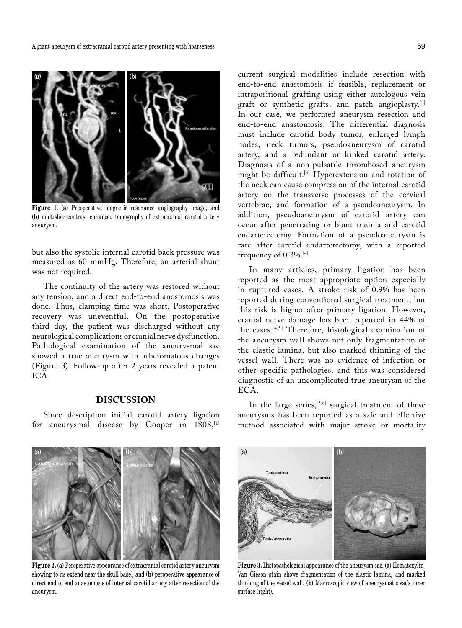

**Figure 1. (a)** Preoperative magnetic resonance angiography image, and **(b)** multislice contrast enhanced tomography of extracranial carotid artery aneurysm.

but also the systolic internal carotid back pressure was measured as 60 mmHg. Therefore, an arterial shunt was not required.

The continuity of the artery was restored without any tension, and a direct end-to-end anostomosis was done. Thus, clamping time was short. Postoperative recovery was uneventful. On the postoperative third day, the patient was discharged without any neurological complications or cranial nerve dysfunction. Pathological examination of the aneurysmal sac showed a true aneurysm with atheromatous changes (Figure 3). Follow-up after 2 years revealed a patent ICA.

# **DISCUSSION**

Since description initial carotid artery ligation for aneurysmal disease by Cooper in 1808,<sup>[1]</sup> current surgical modalities include resection with end-to-end anastomosis if feasible, replacement or intrapositional grafting using either autologous vein graft or synthetic grafts, and patch angioplasty.[2] In our case, we performed aneurysm resection and end-to-end anastomosis. The differential diagnosis must include carotid body tumor, enlarged lymph nodes, neck tumors, pseudoaneurysm of carotid artery, and a redundant or kinked carotid artery. Diagnosis of a non-pulsatile thrombosed aneurysm might be difficult.[3] Hyperextension and rotation of the neck can cause compression of the internal carotid artery on the transverse processes of the cervical vertebrae, and formation of a pseudoaneurysm. In addition, pseudoaneurysm of carotid artery can occur after penetrating or blunt trauma and carotid endarterectomy. Formation of a pseudoaneurysm is rare after carotid endarterectomy, with a reported frequency of 0.3%.[4]

In many articles, primary ligation has been reported as the most appropriate option especially in ruptured cases. A stroke risk of 0.9% has been reported during conventional surgical treatment, but this risk is higher after primary ligation. However, cranial nerve damage has been reported in 44% of the cases.[4,5] Therefore, histological examination of the aneurysm wall shows not only fragmentation of the elastic lamina, but also marked thinning of the vessel wall. There was no evidence of infection or other specific pathologies, and this was considered diagnostic of an uncomplicated true aneurysm of the ECA.

In the large series,<sup>[5,6]</sup> surgical treatment of these aneurysms has been reported as a safe and effective method associated with major stroke or mortality



**Figure 2. (a)** Peroperative appearance of extracranial carotid artery aneurysm showing to its extend near the skull base), and **(b)** peroperative appearance of direct end to end anastomosis of internal carotid artery after resection of the aneurysm.



**Figure 3.** Histopathological appearance of the aneurysm sac. **(a)** Hematoxylin-Van Gieson stain shows fragmentation of the elastic lamina, and marked thinning of the vessel wall. **(b)** Macroscopic view of aneurysmatic sac's inner surface (right).